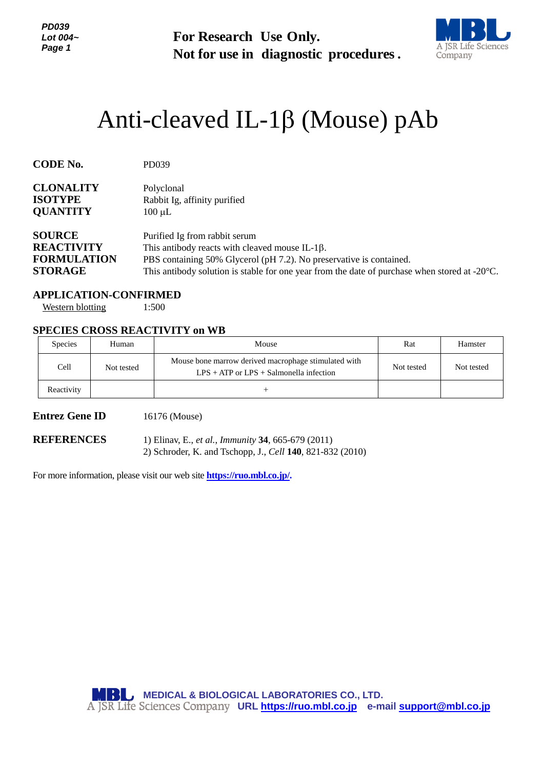*PD039 Lot 004~ Page 1*

**For Research Use Only. Not for use in diagnostic procedures.**



# Anti-cleaved IL-1 $\beta$  (Mouse) pAb

| <b>CODE No.</b>                                       | PD039                                                                                                   |
|-------------------------------------------------------|---------------------------------------------------------------------------------------------------------|
| <b>CLONALITY</b><br><b>ISOTYPE</b><br><b>QUANTITY</b> | Polyclonal<br>Rabbit Ig, affinity purified<br>$100 \mu L$                                               |
| <b>SOURCE</b>                                         | Purified Ig from rabbit serum                                                                           |
| <b>REACTIVITY</b>                                     | This antibody reacts with cleaved mouse IL-1 $\beta$ .                                                  |
| <b>FORMULATION</b>                                    | PBS containing 50% Glycerol (pH 7.2). No preservative is contained.                                     |
| <b>STORAGE</b>                                        | This antibody solution is stable for one year from the date of purchase when stored at $-20^{\circ}$ C. |

**APPLICATION-CONFIRMED** Western blotting 1:500

# **SPECIES CROSS REACTIVITY on WB**

| <b>Species</b> | Human      | Mouse                                                                                               | Rat        | Hamster    |
|----------------|------------|-----------------------------------------------------------------------------------------------------|------------|------------|
| Cell           | Not tested | Mouse bone marrow derived macrophage stimulated with<br>$LPS + ATP$ or $LPS + Salmonella$ infection | Not tested | Not tested |
| Reactivity     |            |                                                                                                     |            |            |

### **Entrez Gene ID** 16176 (Mouse)

**REFERENCES** 1) Elinav, E., *et al.*, *Immunity* **34**, 665-679 (2011) 2) Schroder, K. and Tschopp, J., *Cell* **140**, 821-832 (2010)

For more information, please visit our web site **https://ruo.mbl.co.jp/.**